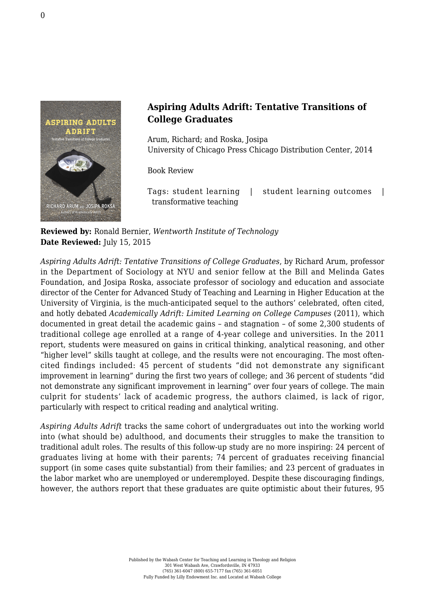

## **Aspiring Adults Adrift: Tentative Transitions of College Graduates**

Arum, Richard; and Roska, Josipa [University of Chicago Press Chicago Distribution Center, 2014](http://press.uchicago.edu/ucp/books/book/chicago/A/bo19088566.html)

Book Review

Tags: student learning | student learning outcomes | transformative teaching

**Reviewed by:** Ronald Bernier, *Wentworth Institute of Technology* **Date Reviewed:** July 15, 2015

*Aspiring Adults Adrift: Tentative Transitions of College Graduates*, by Richard Arum, professor in the Department of Sociology at NYU and senior fellow at the Bill and Melinda Gates Foundation, and Josipa Roska, associate professor of sociology and education and associate director of the Center for Advanced Study of Teaching and Learning in Higher Education at the University of Virginia, is the much-anticipated sequel to the authors' celebrated, often cited, and hotly debated *Academically Adrift: Limited Learning on College Campuses* (2011), which documented in great detail the academic gains – and stagnation – of some 2,300 students of traditional college age enrolled at a range of 4-year college and universities. In the 2011 report, students were measured on gains in critical thinking, analytical reasoning, and other "higher level" skills taught at college, and the results were not encouraging. The most oftencited findings included: 45 percent of students "did not demonstrate any significant improvement in learning" during the first two years of college; and 36 percent of students "did not demonstrate any significant improvement in learning" over four years of college. The main culprit for students' lack of academic progress, the authors claimed, is lack of rigor, particularly with respect to critical reading and analytical writing.

*Aspiring Adults Adrift* tracks the same cohort of undergraduates out into the working world into (what should be) adulthood, and documents their struggles to make the transition to traditional adult roles. The results of this follow-up study are no more inspiring: 24 percent of graduates living at home with their parents; 74 percent of graduates receiving financial support (in some cases quite substantial) from their families; and 23 percent of graduates in the labor market who are unemployed or underemployed. Despite these discouraging findings, however, the authors report that these graduates are quite optimistic about their futures, 95